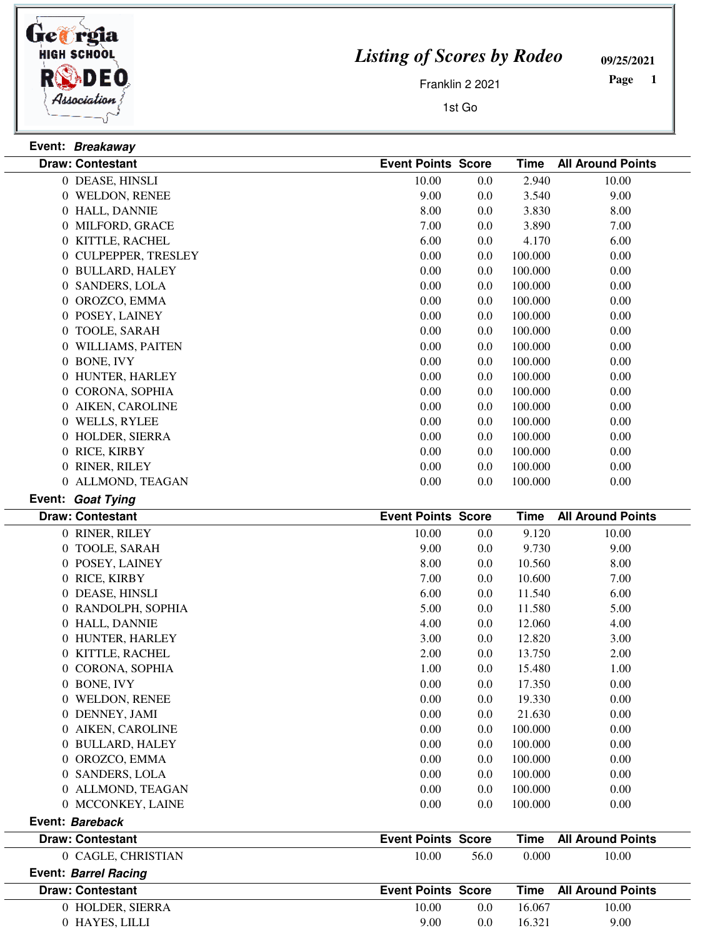

**Event: Bareback**

## *Listing of Scores by Rodeo*

**09/25/2021**

Franklin 2 2021

1st Go

 **Page** 

|                  | Event: Breakaway        |                           |     |             |                          |
|------------------|-------------------------|---------------------------|-----|-------------|--------------------------|
|                  | <b>Draw: Contestant</b> | <b>Event Points Score</b> |     | Time        | <b>All Around Points</b> |
|                  | 0 DEASE, HINSLI         | 10.00                     | 0.0 | 2.940       | 10.00                    |
|                  | 0 WELDON, RENEE         | 9.00                      | 0.0 | 3.540       | 9.00                     |
|                  | 0 HALL, DANNIE          | 8.00                      | 0.0 | 3.830       | 8.00                     |
|                  | 0 MILFORD, GRACE        | 7.00                      | 0.0 | 3.890       | 7.00                     |
| $\theta$         | KITTLE, RACHEL          | 6.00                      | 0.0 | 4.170       | 6.00                     |
|                  | 0 CULPEPPER, TRESLEY    | 0.00                      | 0.0 | 100.000     | 0.00                     |
|                  | 0 BULLARD, HALEY        | 0.00                      | 0.0 | 100.000     | 0.00                     |
| $\overline{0}$   | <b>SANDERS, LOLA</b>    | 0.00                      | 0.0 | 100.000     | 0.00                     |
| 0                | OROZCO, EMMA            | 0.00                      | 0.0 | 100.000     | 0.00                     |
| $\overline{0}$   | POSEY, LAINEY           | 0.00                      | 0.0 | 100.000     | 0.00                     |
| $\overline{0}$   | TOOLE, SARAH            | 0.00                      | 0.0 | 100.000     | 0.00                     |
| 0                | WILLIAMS, PAITEN        | 0.00                      | 0.0 | 100.000     | 0.00                     |
| $\overline{0}$   | <b>BONE, IVY</b>        | 0.00                      | 0.0 | 100.000     | 0.00                     |
|                  | 0 HUNTER, HARLEY        | 0.00                      | 0.0 | 100.000     | 0.00                     |
| $\boldsymbol{0}$ | CORONA, SOPHIA          | 0.00                      | 0.0 | 100.000     | 0.00                     |
|                  | 0 AIKEN, CAROLINE       | 0.00                      | 0.0 | 100.000     | 0.00                     |
| $\overline{0}$   | <b>WELLS, RYLEE</b>     | 0.00                      | 0.0 | 100.000     | 0.00                     |
| $\overline{0}$   | HOLDER, SIERRA          | 0.00                      | 0.0 | 100.000     | 0.00                     |
|                  | 0 RICE, KIRBY           | 0.00                      | 0.0 | 100.000     | 0.00                     |
|                  | 0 RINER, RILEY          | 0.00                      | 0.0 | 100.000     | 0.00                     |
|                  | 0 ALLMOND, TEAGAN       | 0.00                      | 0.0 | 100.000     | 0.00                     |
|                  | Event: Goat Tying       |                           |     |             |                          |
|                  | <b>Draw: Contestant</b> | <b>Event Points Score</b> |     | <b>Time</b> | <b>All Around Points</b> |
|                  | 0 RINER, RILEY          | 10.00                     | 0.0 | 9.120       | 10.00                    |
|                  | 0 TOOLE, SARAH          | 9.00                      | 0.0 | 9.730       | 9.00                     |
| $\overline{0}$   | POSEY, LAINEY           | 8.00                      | 0.0 | 10.560      | 8.00                     |

0 RICE, KIRBY 7.00 0.0 10.600 7.00 DEASE, HINSLI 6.00 6.00 0.0 11.540 0 RANDOLPH, SOPHIA 5.00 5.00 6.0 11.580 5.00 0 HALL, DANNIE 4.00 0.0 12.060 4.00 0 HUNTER, HARLEY 3.00 3.00 0.0 12.820 3.00 0 KITTLE, RACHEL 2.00 0.0 13.750 2.00 0 CORONA, SOPHIA 1.00 0.0 15.480 1.00 BONE, IVY 0.00 0.00 0.0 17.350 WELDON, RENEE 0.00 0.00 0.0 19.330 DENNEY, JAMI 0.00 0.00 0.0 21.630 0 AIKEN, CAROLINE 0.00 0.00 0.00 0.00 0.00 0.00 BULLARD, HALEY 0.00 0.00 0.0 100.000 OROZCO, EMMA 0.00 0.00 0.0 100.000 SANDERS, LOLA 0.00 0.00 0.0 100.000 ALLMOND, TEAGAN 0.00 0.00 0.0 100.000 MCCONKEY, LAINE 0.00 0.00 0.0 100.000

| 0 CAGLE, CHRISTIAN      | 10.00<br>56.0             | 10.00<br>0.000                |  |
|-------------------------|---------------------------|-------------------------------|--|
| Event: Barrel Racing    |                           |                               |  |
| <b>Draw: Contestant</b> | <b>Event Points Score</b> | <b>Time</b> All Around Points |  |
|                         |                           |                               |  |
| 0 HOLDER, SIERRA        | 10.00<br>0.0              | 10.00<br>16.067               |  |

**Draw: Contestant Event Points Score Time All Around Points**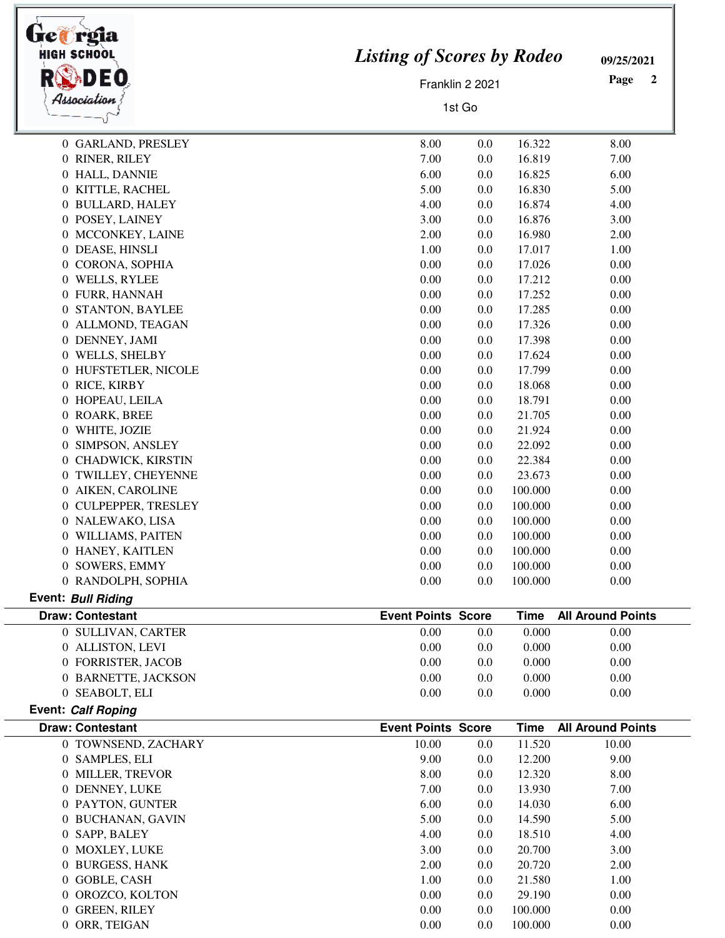| HIGH SCHOO                                | <b>Listing of Scores by Rodeo</b> |                      |                    | 09/25/2021               |
|-------------------------------------------|-----------------------------------|----------------------|--------------------|--------------------------|
| DEO                                       |                                   | Page<br>$\mathbf{2}$ |                    |                          |
| Association                               | Franklin 2 2021<br>1st Go         |                      |                    |                          |
|                                           |                                   |                      |                    |                          |
| 0 GARLAND, PRESLEY                        | 8.00                              | 0.0                  | 16.322             | 8.00                     |
| 0 RINER, RILEY                            | 7.00                              | 0.0                  | 16.819             | 7.00                     |
| 0 HALL, DANNIE                            | 6.00                              | 0.0                  | 16.825             | 6.00                     |
| 0 KITTLE, RACHEL                          | 5.00                              | 0.0                  | 16.830             | 5.00                     |
| 0 BULLARD, HALEY                          | 4.00                              | 0.0                  | 16.874             | 4.00                     |
| 0 POSEY, LAINEY                           | 3.00                              | 0.0                  | 16.876             | 3.00                     |
| 0 MCCONKEY, LAINE                         | 2.00                              | 0.0                  | 16.980             | 2.00                     |
| 0 DEASE, HINSLI                           | 1.00                              | 0.0                  | 17.017             | 1.00                     |
| 0 CORONA, SOPHIA                          | 0.00                              | 0.0                  | 17.026             | 0.00                     |
| 0 WELLS, RYLEE                            | 0.00                              | 0.0                  | 17.212             | 0.00                     |
| 0 FURR, HANNAH                            | 0.00                              | 0.0                  | 17.252             | 0.00                     |
| 0 STANTON, BAYLEE                         | 0.00                              | 0.0                  | 17.285             | 0.00                     |
| 0 ALLMOND, TEAGAN                         | 0.00                              | 0.0                  | 17.326             | 0.00                     |
| 0 DENNEY, JAMI                            | 0.00                              | 0.0                  | 17.398             | 0.00                     |
| 0 WELLS, SHELBY                           | 0.00<br>0.00                      | 0.0                  | 17.624             | 0.00                     |
| 0 HUFSTETLER, NICOLE                      | 0.00                              | 0.0<br>0.0           | 17.799             | 0.00                     |
| 0 RICE, KIRBY                             | 0.00                              |                      | 18.068             | 0.00                     |
| 0 HOPEAU, LEILA<br>0 ROARK, BREE          | 0.00                              | 0.0<br>0.0           | 18.791<br>21.705   | 0.00<br>0.00             |
| 0 WHITE, JOZIE                            | 0.00                              | 0.0                  | 21.924             | 0.00                     |
| 0 SIMPSON, ANSLEY                         | 0.00                              | 0.0                  | 22.092             | 0.00                     |
| 0 CHADWICK, KIRSTIN                       | 0.00                              | 0.0                  | 22.384             | 0.00                     |
| 0 TWILLEY, CHEYENNE                       | 0.00                              | 0.0                  | 23.673             | 0.00                     |
|                                           |                                   |                      |                    |                          |
| 0 AIKEN, CAROLINE<br>0 CULPEPPER, TRESLEY | 0.00<br>0.00                      | 0.0<br>0.0           | 100.000<br>100.000 | 0.00<br>0.00             |
| 0 NALEWAKO, LISA                          | 0.00                              | 0.0                  | 100.000            | 0.00                     |
| 0 WILLIAMS, PAITEN                        | 0.00                              | 0.0                  | 100.000            | 0.00                     |
| 0 HANEY, KAITLEN                          | 0.00                              | 0.0                  | 100.000            | 0.00                     |
| 0 SOWERS, EMMY                            | 0.00                              | 0.0                  | 100.000            | 0.00                     |
| 0 RANDOLPH, SOPHIA                        | 0.00                              | 0.0                  | 100.000            | 0.00                     |
| <b>Event: Bull Riding</b>                 |                                   |                      |                    |                          |
| <b>Draw: Contestant</b>                   | <b>Event Points Score</b>         |                      | <b>Time</b>        | <b>All Around Points</b> |
| 0 SULLIVAN, CARTER                        | 0.00                              | $0.0\,$              | 0.000              | 0.00                     |
| 0 ALLISTON, LEVI                          | 0.00                              | 0.0                  | 0.000              | 0.00                     |
| 0 FORRISTER, JACOB                        | 0.00                              | 0.0                  | 0.000              | 0.00                     |
| 0 BARNETTE, JACKSON                       | 0.00                              | 0.0                  | 0.000              | 0.00                     |
| 0 SEABOLT, ELI                            | 0.00                              | 0.0                  | 0.000              | 0.00                     |
| Event: Calf Roping                        |                                   |                      |                    |                          |
| <b>Draw: Contestant</b>                   | <b>Event Points Score</b>         |                      | <b>Time</b>        | <b>All Around Points</b> |
| 0 TOWNSEND, ZACHARY                       | 10.00                             | 0.0                  | 11.520             | 10.00                    |
| 0 SAMPLES, ELI                            | 9.00                              | 0.0                  | 12.200             | 9.00                     |
| 0 MILLER, TREVOR                          | 8.00                              | 0.0                  | 12.320             | 8.00                     |
| 0 DENNEY, LUKE                            | 7.00                              | 0.0                  | 13.930             | 7.00                     |
| 0 PAYTON, GUNTER                          | 6.00                              | 0.0                  | 14.030             | 6.00                     |
| 0 BUCHANAN, GAVIN                         | 5.00                              | $0.0\,$              | 14.590             | 5.00                     |
| 0 SAPP, BALEY                             | 4.00                              | 0.0                  | 18.510             | 4.00                     |
| 0 MOXLEY, LUKE                            | 3.00                              | 0.0                  | 20.700             | 3.00                     |
| 0 BURGESS, HANK                           | 2.00                              | 0.0                  | 20.720             | 2.00                     |
| 0 GOBLE, CASH                             | 1.00                              | 0.0                  | 21.580             | 1.00                     |
| 0 OROZCO, KOLTON                          | 0.00                              | 0.0                  | 29.190             | 0.00                     |
| 0 GREEN, RILEY                            | 0.00                              | 0.0                  | 100.000            | 0.00                     |
| 0 ORR, TEIGAN                             | 0.00                              | 0.0                  | 100.000            | 0.00                     |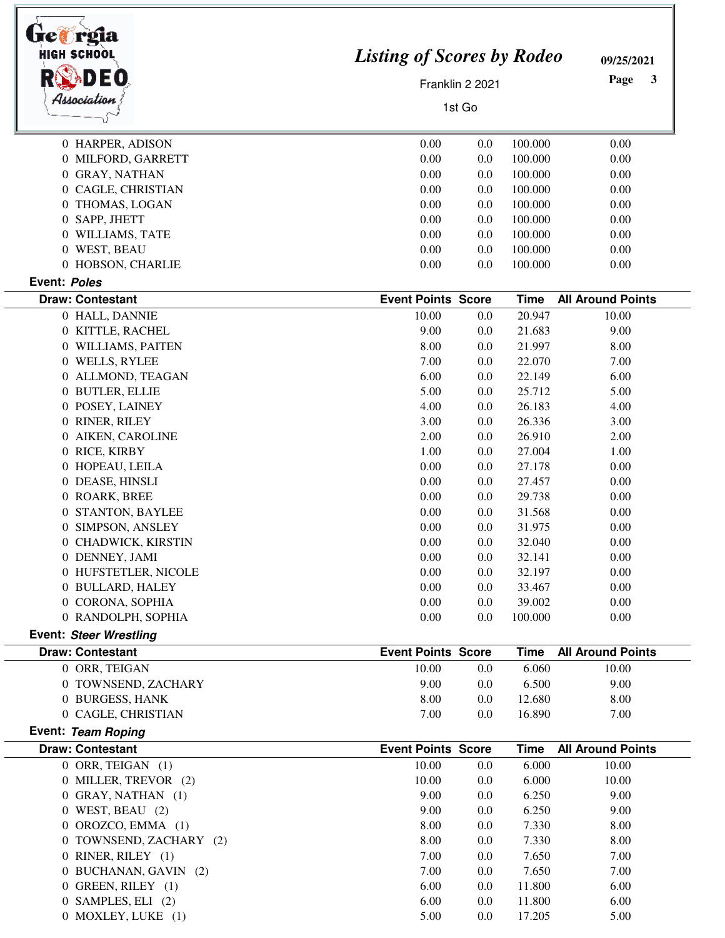| reia<br><b>HIGH SCHOO</b>                |                           |                                   |                  | 09/25/2021               |  |
|------------------------------------------|---------------------------|-----------------------------------|------------------|--------------------------|--|
|                                          |                           | <b>Listing of Scores by Rodeo</b> |                  |                          |  |
|                                          | Franklin 2 2021           | Page<br>3                         |                  |                          |  |
| Association                              |                           | 1st Go                            |                  |                          |  |
| 0 HARPER, ADISON                         | 0.00                      | 0.0                               | 100.000          | 0.00                     |  |
| 0 MILFORD, GARRETT                       | 0.00                      | 0.0                               | 100.000          | 0.00                     |  |
| 0 GRAY, NATHAN                           | 0.00                      | 0.0                               | 100.000          | 0.00                     |  |
| 0 CAGLE, CHRISTIAN                       | 0.00                      | 0.0                               | 100.000          | 0.00                     |  |
| 0 THOMAS, LOGAN                          | 0.00                      | 0.0                               | 100.000          | 0.00                     |  |
| 0 SAPP, JHETT                            | 0.00                      | 0.0                               | 100.000          | 0.00                     |  |
| 0 WILLIAMS, TATE                         | 0.00                      | 0.0                               | 100.000          | 0.00                     |  |
| 0 WEST, BEAU                             | 0.00                      | 0.0                               | 100.000          | 0.00                     |  |
| 0 HOBSON, CHARLIE                        | 0.00                      | 0.0                               | 100.000          | 0.00                     |  |
| Event: Poles                             |                           |                                   |                  |                          |  |
| <b>Draw: Contestant</b>                  | <b>Event Points Score</b> |                                   | <b>Time</b>      | <b>All Around Points</b> |  |
| 0 HALL, DANNIE                           | 10.00                     | 0.0                               | 20.947           | 10.00                    |  |
| 0 KITTLE, RACHEL                         | 9.00                      | 0.0                               | 21.683           | 9.00                     |  |
| 0 WILLIAMS, PAITEN                       | 8.00                      | 0.0                               | 21.997           | 8.00                     |  |
| 0 WELLS, RYLEE                           | 7.00<br>6.00              | 0.0                               | 22.070           | 7.00                     |  |
| 0 ALLMOND, TEAGAN                        |                           | 0.0                               | 22.149           | 6.00                     |  |
| 0 BUTLER, ELLIE                          | 5.00                      | 0.0                               | 25.712           | 5.00                     |  |
| POSEY, LAINEY<br>$\theta$                | 4.00                      | 0.0                               | 26.183           | 4.00                     |  |
| 0 RINER, RILEY                           | 3.00                      | 0.0                               | 26.336           | 3.00                     |  |
| AIKEN, CAROLINE<br>$\theta$              | 2.00                      | 0.0                               | 26.910           | 2.00                     |  |
| 0 RICE, KIRBY                            | 1.00<br>0.00              | 0.0                               | 27.004           | 1.00                     |  |
| 0 HOPEAU, LEILA<br>0 DEASE, HINSLI       | 0.00                      | 0.0<br>0.0                        | 27.178<br>27.457 | 0.00<br>0.00             |  |
| 0 ROARK, BREE                            | 0.00                      | 0.0                               | 29.738           | 0.00                     |  |
| STANTON, BAYLEE<br>$\overline{0}$        | 0.00                      | 0.0                               | 31.568           | 0.00                     |  |
| 0 SIMPSON, ANSLEY                        | 0.00                      | 0.0                               | 31.975           | 0.00                     |  |
| 0 CHADWICK, KIRSTIN                      | 0.00                      | 0.0                               | 32.040           | 0.00                     |  |
| 0 DENNEY, JAMI                           | 0.00                      | 0.0                               | 32.141           | 0.00                     |  |
| 0 HUFSTETLER, NICOLE                     | 0.00                      | 0.0                               | 32.197           | 0.00                     |  |
| 0 BULLARD, HALEY                         | 0.00                      | 0.0                               | 33.467           | 0.00                     |  |
| 0 CORONA, SOPHIA                         | 0.00                      | 0.0                               | 39.002           | 0.00                     |  |
| 0 RANDOLPH, SOPHIA                       | 0.00                      | 0.0                               | 100.000          | 0.00                     |  |
| <b>Event: Steer Wrestling</b>            |                           |                                   |                  |                          |  |
| <b>Draw: Contestant</b>                  | <b>Event Points Score</b> |                                   | <b>Time</b>      | <b>All Around Points</b> |  |
| 0 ORR, TEIGAN                            | 10.00                     | 0.0                               | 6.060            | 10.00                    |  |
| 0 TOWNSEND, ZACHARY                      | 9.00                      | 0.0                               | 6.500            | 9.00                     |  |
| 0 BURGESS, HANK                          | 8.00                      | 0.0                               | 12.680           | 8.00                     |  |
| 0 CAGLE, CHRISTIAN<br>Event: Team Roping | 7.00                      | 0.0                               | 16.890           | 7.00                     |  |
| <b>Draw: Contestant</b>                  | <b>Event Points Score</b> |                                   | <b>Time</b>      | <b>All Around Points</b> |  |
| 0 ORR, TEIGAN (1)                        | 10.00                     | 0.0                               | 6.000            | 10.00                    |  |
| 0 MILLER, TREVOR (2)                     | 10.00                     | 0.0                               | 6.000            | 10.00                    |  |
| 0 GRAY, NATHAN (1)                       | 9.00                      | 0.0                               | 6.250            | 9.00                     |  |
| $0$ WEST, BEAU $(2)$                     | 9.00                      | 0.0                               | 6.250            | 9.00                     |  |
| OROZCO, EMMA (1)<br>$\theta$             | 8.00                      | 0.0                               | 7.330            | 8.00                     |  |
| 0 TOWNSEND, ZACHARY (2)                  | 8.00                      | 0.0                               | 7.330            | 8.00                     |  |
| 0 RINER, RILEY (1)                       | 7.00                      | 0.0                               | 7.650            | 7.00                     |  |
| 0 BUCHANAN, GAVIN (2)                    | 7.00                      | 0.0                               | 7.650            | 7.00                     |  |
| 0 GREEN, RILEY (1)                       | 6.00                      | 0.0                               | 11.800           | 6.00                     |  |
|                                          | 6.00                      | 0.0                               | 11.800           | 6.00                     |  |
| 0 SAMPLES, ELI (2)                       |                           |                                   |                  |                          |  |

 $\overline{a}$